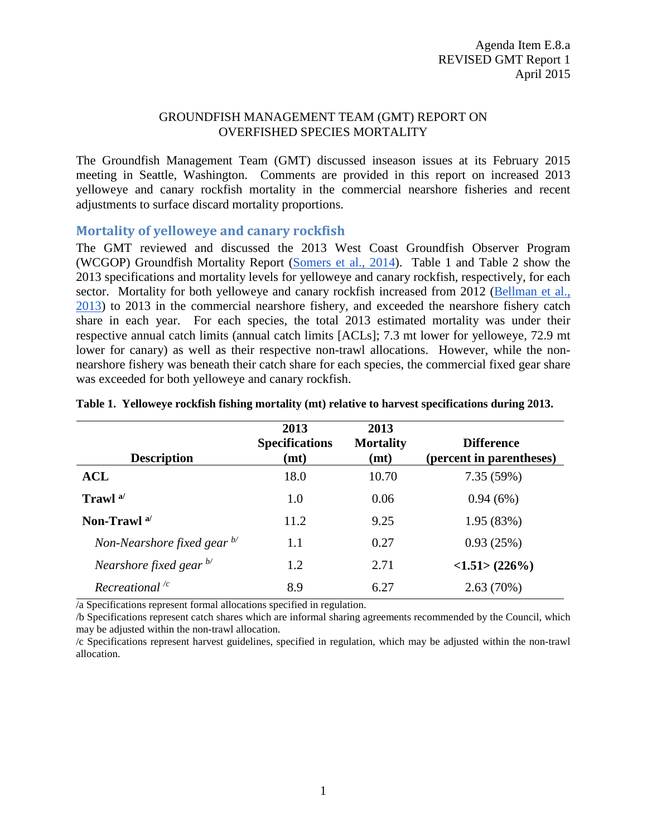#### GROUNDFISH MANAGEMENT TEAM (GMT) REPORT ON OVERFISHED SPECIES MORTALITY

The Groundfish Management Team (GMT) discussed inseason issues at its February 2015 meeting in Seattle, Washington. Comments are provided in this report on increased 2013 yelloweye and canary rockfish mortality in the commercial nearshore fisheries and recent adjustments to surface discard mortality proportions.

### **Mortality of yelloweye and canary rockfish**

The GMT reviewed and discussed the 2013 West Coast Groundfish Observer Program (WCGOP) Groundfish Mortality Report [\(Somers et al., 2014\)](http://www.nwfsc.noaa.gov/research/divisions/fram/observation/pdf/Groundfish_Mortality_Report_2013.pdf). [Table 1](#page-0-0) and [Table 2](#page-1-0) show the 2013 specifications and mortality levels for yelloweye and canary rockfish, respectively, for each sector. Mortality for both yelloweye and canary rockfish increased from 2012 (Bellman et al., [2013\)](http://www.nwfsc.noaa.gov/research/divisions/fram/observation/pdf/GroundfishMortality2012.pdf) to 2013 in the commercial nearshore fishery, and exceeded the nearshore fishery catch share in each year. For each species, the total 2013 estimated mortality was under their respective annual catch limits (annual catch limits [ACLs]; 7.3 mt lower for yelloweye, 72.9 mt lower for canary) as well as their respective non-trawl allocations. However, while the nonnearshore fishery was beneath their catch share for each species, the commercial fixed gear share was exceeded for both yelloweye and canary rockfish.

|                                        | 2013<br><b>Specifications</b> | 2013<br><b>Mortality</b> | <b>Difference</b>        |
|----------------------------------------|-------------------------------|--------------------------|--------------------------|
| <b>Description</b>                     | (mt)                          | (mt)                     | (percent in parentheses) |
| <b>ACL</b>                             | 18.0                          | 10.70                    | 7.35(59%)                |
| Trawl <sup>a</sup>                     | 1.0                           | 0.06                     | 0.94(6%)                 |
| Non-Trawl <sup>a/</sup>                | 11.2                          | 9.25                     | 1.95(83%)                |
| Non-Nearshore fixed gear $\frac{b}{c}$ | 1.1                           | 0.27                     | 0.93(25%)                |
| Nearshore fixed gear $\frac{b}{c}$     | 1.2                           | 2.71                     | <1.51>(226%)             |
| Recreational $\frac{c}{c}$             | 8.9                           | 6.27                     | 2.63(70%)                |

#### <span id="page-0-0"></span>**Table 1. Yelloweye rockfish fishing mortality (mt) relative to harvest specifications during 2013.**

/a Specifications represent formal allocations specified in regulation.

/b Specifications represent catch shares which are informal sharing agreements recommended by the Council, which may be adjusted within the non-trawl allocation.

/c Specifications represent harvest guidelines, specified in regulation, which may be adjusted within the non-trawl allocation.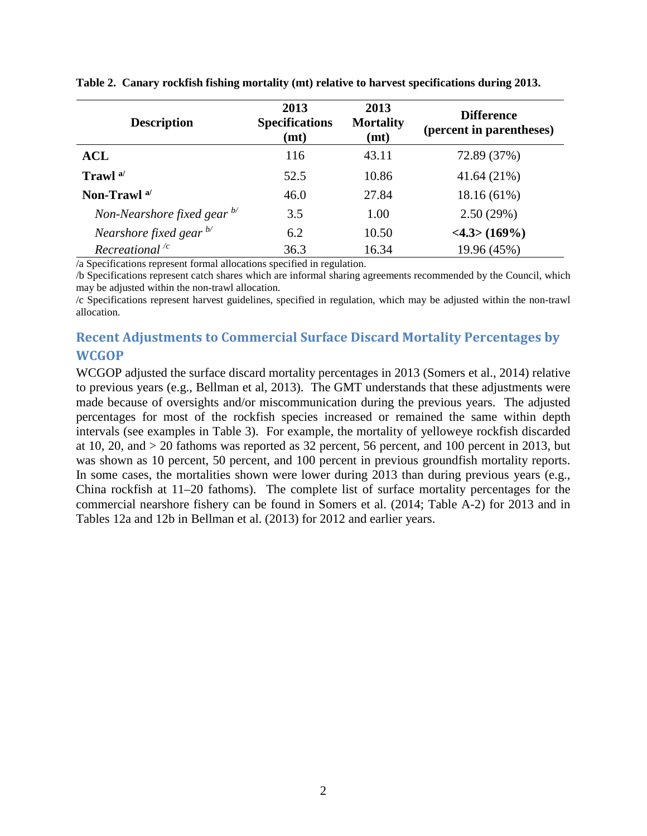| <b>Description</b>                     | 2013<br><b>Specifications</b><br>(mt) | 2013<br><b>Mortality</b><br>(mt) | <b>Difference</b><br>(percent in parentheses) |
|----------------------------------------|---------------------------------------|----------------------------------|-----------------------------------------------|
| <b>ACL</b>                             | 116                                   | 43.11                            | 72.89 (37%)                                   |
| Trawl <sup>a/</sup>                    | 52.5                                  | 10.86                            | 41.64 (21%)                                   |
| Non-Trawl <sup>a/</sup>                | 46.0                                  | 27.84                            | $18.16(61\%)$                                 |
| Non-Nearshore fixed gear $\frac{b}{c}$ | 3.5                                   | 1.00                             | 2.50(29%)                                     |
| Nearshore fixed gear $^{b'}$           | 6.2                                   | 10.50                            | <4.3>(169%)                                   |
| Recreational $\frac{1}{c}$             | 36.3                                  | 16.34                            | 19.96 (45%)                                   |

<span id="page-1-0"></span>**Table 2. Canary rockfish fishing mortality (mt) relative to harvest specifications during 2013.**

/a Specifications represent formal allocations specified in regulation.

/b Specifications represent catch shares which are informal sharing agreements recommended by the Council, which may be adjusted within the non-trawl allocation.

/c Specifications represent harvest guidelines, specified in regulation, which may be adjusted within the non-trawl allocation.

### **Recent Adjustments to Commercial Surface Discard Mortality Percentages by WCGOP**

WCGOP adjusted the surface discard mortality percentages in 2013 (Somers et al., 2014) relative to previous years (e.g., Bellman et al, 2013). The GMT understands that these adjustments were made because of oversights and/or miscommunication during the previous years. The adjusted percentages for most of the rockfish species increased or remained the same within depth intervals (see examples in [Table 3\)](#page-2-0). For example, the mortality of yelloweye rockfish discarded at 10, 20, and > 20 fathoms was reported as 32 percent, 56 percent, and 100 percent in 2013, but was shown as 10 percent, 50 percent, and 100 percent in previous groundfish mortality reports. In some cases, the mortalities shown were lower during 2013 than during previous years (e.g., China rockfish at 11–20 fathoms). The complete list of surface mortality percentages for the commercial nearshore fishery can be found in Somers et al. (2014; Table A-2) for 2013 and in Tables 12a and 12b in Bellman et al. (2013) for 2012 and earlier years.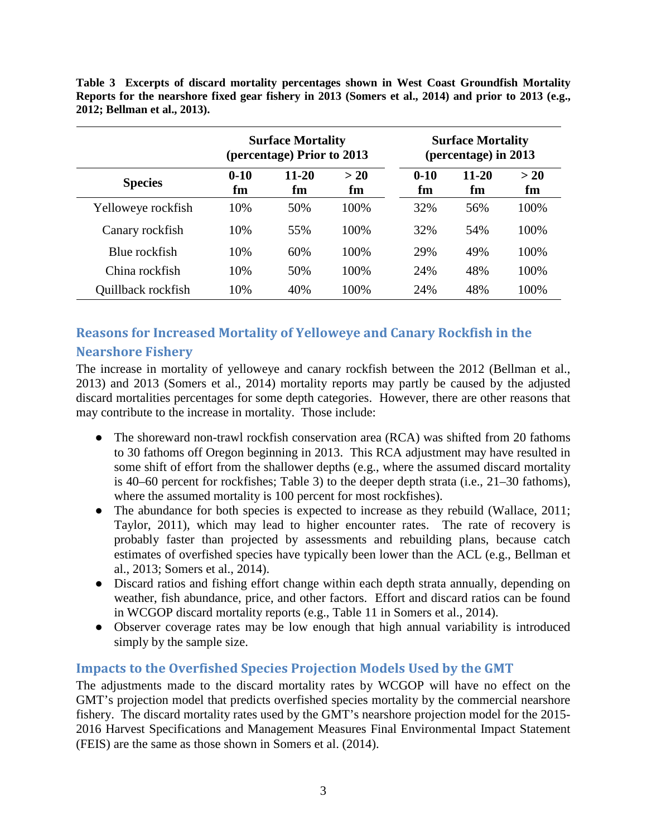<span id="page-2-0"></span>**Table 3 Excerpts of discard mortality percentages shown in West Coast Groundfish Mortality Reports for the nearshore fixed gear fishery in 2013 (Somers et al., 2014) and prior to 2013 (e.g., 2012; Bellman et al., 2013).**

|                    |                | <b>Surface Mortality</b><br>(percentage) Prior to 2013 |            | <b>Surface Mortality</b><br>(percentage) in 2013 |             |           |  |
|--------------------|----------------|--------------------------------------------------------|------------|--------------------------------------------------|-------------|-----------|--|
| <b>Species</b>     | $0 - 10$<br>fm | $11 - 20$<br>fm                                        | > 20<br>fm | $0 - 10$<br>fm                                   | 11-20<br>fm | >20<br>fm |  |
| Yelloweye rockfish | 10%            | 50%                                                    | 100%       | 32%                                              | 56%         | 100%      |  |
| Canary rockfish    | 10%            | 55%                                                    | 100%       | 32%                                              | 54%         | 100%      |  |
| Blue rockfish      | 10%            | 60%                                                    | 100%       | 29%                                              | 49%         | 100%      |  |
| China rockfish     | 10%            | 50%                                                    | 100%       | 24%                                              | 48%         | 100%      |  |
| Quillback rockfish | 10%            | 40%                                                    | 100\%      | 24%                                              | 48%         | 100%      |  |

# **Reasons for Increased Mortality of Yelloweye and Canary Rockfish in the Nearshore Fishery**

The increase in mortality of yelloweye and canary rockfish between the 2012 (Bellman et al., 2013) and 2013 (Somers et al., 2014) mortality reports may partly be caused by the adjusted discard mortalities percentages for some depth categories. However, there are other reasons that may contribute to the increase in mortality. Those include:

- The shoreward non-trawl rockfish conservation area (RCA) was shifted from 20 fathoms to 30 fathoms off Oregon beginning in 2013. This RCA adjustment may have resulted in some shift of effort from the shallower depths (e.g., where the assumed discard mortality is 40–60 percent for rockfishes; [Table 3\)](#page-2-0) to the deeper depth strata (i.e., 21–30 fathoms), where the assumed mortality is 100 percent for most rockfishes).
- The abundance for both species is expected to increase as they rebuild (Wallace, 2011; Taylor, 2011), which may lead to higher encounter rates. The rate of recovery is probably faster than projected by assessments and rebuilding plans, because catch estimates of overfished species have typically been lower than the ACL (e.g., Bellman et al., 2013; Somers et al., 2014).
- Discard ratios and fishing effort change within each depth strata annually, depending on weather, fish abundance, price, and other factors. Effort and discard ratios can be found in WCGOP discard mortality reports (e.g., Table 11 in Somers et al., 2014).
- Observer coverage rates may be low enough that high annual variability is introduced simply by the sample size.

## **Impacts to the Overfished Species Projection Models Used by the GMT**

The adjustments made to the discard mortality rates by WCGOP will have no effect on the GMT's projection model that predicts overfished species mortality by the commercial nearshore fishery. The discard mortality rates used by the GMT's nearshore projection model for the 2015- 2016 Harvest Specifications and Management Measures Final Environmental Impact Statement (FEIS) are the same as those shown in Somers et al. (2014).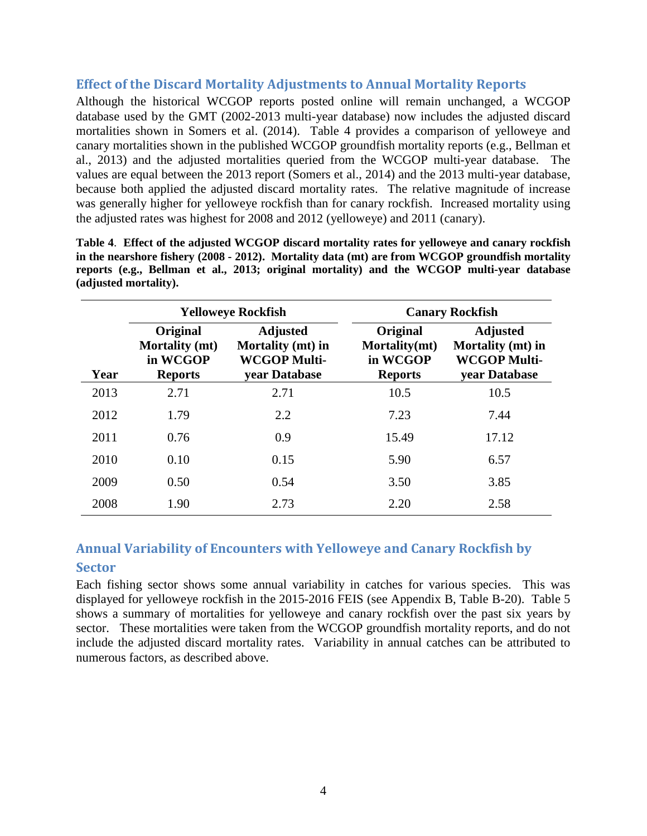### **Effect of the Discard Mortality Adjustments to Annual Mortality Reports**

Although the historical WCGOP reports posted online will remain unchanged, a WCGOP database used by the GMT (2002-2013 multi-year database) now includes the adjusted discard mortalities shown in Somers et al. (2014). [Table 4](#page-3-0) provides a comparison of yelloweye and canary mortalities shown in the published WCGOP groundfish mortality reports (e.g., Bellman et al., 2013) and the adjusted mortalities queried from the WCGOP multi-year database. The values are equal between the 2013 report (Somers et al., 2014) and the 2013 multi-year database, because both applied the adjusted discard mortality rates. The relative magnitude of increase was generally higher for yelloweye rockfish than for canary rockfish. Increased mortality using the adjusted rates was highest for 2008 and 2012 (yelloweye) and 2011 (canary).

|      |                                                                 | <b>Yelloweye Rockfish</b>                                                    | <b>Canary Rockfish</b>                                  |                                                                              |  |  |  |
|------|-----------------------------------------------------------------|------------------------------------------------------------------------------|---------------------------------------------------------|------------------------------------------------------------------------------|--|--|--|
| Year | Original<br><b>Mortality (mt)</b><br>in WCGOP<br><b>Reports</b> | <b>Adjusted</b><br>Mortality (mt) in<br><b>WCGOP Multi-</b><br>vear Database | Original<br>Mortality(mt)<br>in WCGOP<br><b>Reports</b> | <b>Adjusted</b><br>Mortality (mt) in<br><b>WCGOP Multi-</b><br>vear Database |  |  |  |
| 2013 | 2.71                                                            | 2.71                                                                         | 10.5                                                    | 10.5                                                                         |  |  |  |
| 2012 | 1.79                                                            | 2.2                                                                          | 7.23                                                    | 7.44                                                                         |  |  |  |
| 2011 | 0.76                                                            | 0.9                                                                          | 15.49                                                   | 17.12                                                                        |  |  |  |
| 2010 | 0.10                                                            | 0.15                                                                         | 5.90                                                    | 6.57                                                                         |  |  |  |
| 2009 | 0.50                                                            | 0.54                                                                         | 3.50                                                    | 3.85                                                                         |  |  |  |
| 2008 | 1.90                                                            | 2.73                                                                         | 2.20                                                    | 2.58                                                                         |  |  |  |

<span id="page-3-0"></span>**Table 4**. **Effect of the adjusted WCGOP discard mortality rates for yelloweye and canary rockfish in the nearshore fishery (2008 - 2012). Mortality data (mt) are from WCGOP groundfish mortality reports (e.g., Bellman et al., 2013; original mortality) and the WCGOP multi-year database (adjusted mortality).**

## **Annual Variability of Encounters with Yelloweye and Canary Rockfish by Sector**

Each fishing sector shows some annual variability in catches for various species. This was displayed for yelloweye rockfish in the 2015-2016 FEIS (see Appendix B, Table B-20). [Table 5](#page-4-0) shows a summary of mortalities for yelloweye and canary rockfish over the past six years by sector. These mortalities were taken from the WCGOP groundfish mortality reports, and do not include the adjusted discard mortality rates. Variability in annual catches can be attributed to numerous factors, as described above.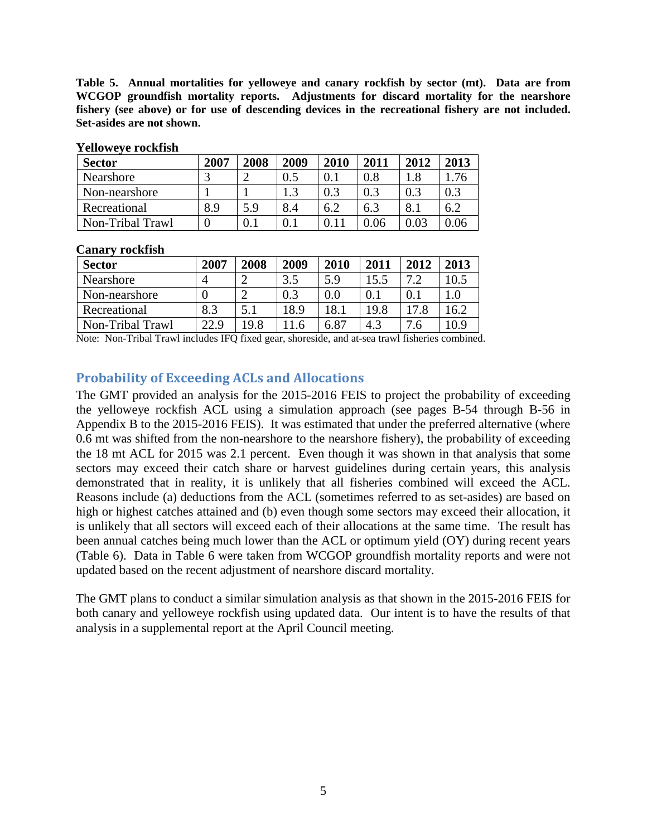<span id="page-4-0"></span>**Table 5. Annual mortalities for yelloweye and canary rockfish by sector (mt). Data are from WCGOP groundfish mortality reports. Adjustments for discard mortality for the nearshore fishery (see above) or for use of descending devices in the recreational fishery are not included. Set-asides are not shown.**

| <b>Sector</b>    | 2007 | 2008 | 2009 | 2010 | 2011 | 2012 | 2013 |
|------------------|------|------|------|------|------|------|------|
| Nearshore        |      |      | 0.5  |      | 0.8  |      | 76   |
| Non-nearshore    |      |      | 1.3  | 0.3  | 0.3  | 0.3  | 0.3  |
| Recreational     | 8.9  | 5.9  | 8.4  | 6.2  | 6.3  | 8.1  | 6.2  |
| Non-Tribal Trawl |      | 0.1  |      |      | 0.06 | 0.03 |      |

#### **Yelloweye rockfish**

#### **Canary rockfish**

| <b>Sector</b>    | 2007 | 2008 | 2009 | 2010 | 2011 | 2012            | 2013 |
|------------------|------|------|------|------|------|-----------------|------|
| Nearshore        |      |      | 3.5  | 5.9  | .5.5 | $\overline{ }$  | 10.5 |
| Non-nearshore    |      |      | 0.3  | 0.0  |      |                 |      |
| Recreational     | 8.3  | 5.1  | 18.9 | 18.1 | 19.8 | 17.8            | 16.2 |
| Non-Tribal Trawl | 22.9 | 19.8 | -6   | 6.87 | 4.3  | $.6\phantom{0}$ | 10.9 |

Note: Non-Tribal Trawl includes IFQ fixed gear, shoreside, and at-sea trawl fisheries combined.

### **Probability of Exceeding ACLs and Allocations**

The GMT provided an analysis for the 2015-2016 FEIS to project the probability of exceeding the yelloweye rockfish ACL using a simulation approach (see pages B-54 through B-56 in Appendix B to the 2015-2016 FEIS). It was estimated that under the preferred alternative (where 0.6 mt was shifted from the non-nearshore to the nearshore fishery), the probability of exceeding the 18 mt ACL for 2015 was 2.1 percent. Even though it was shown in that analysis that some sectors may exceed their catch share or harvest guidelines during certain years, this analysis demonstrated that in reality, it is unlikely that all fisheries combined will exceed the ACL. Reasons include (a) deductions from the ACL (sometimes referred to as set-asides) are based on high or highest catches attained and (b) even though some sectors may exceed their allocation, it is unlikely that all sectors will exceed each of their allocations at the same time. The result has been annual catches being much lower than the ACL or optimum yield (OY) during recent years [\(Table 6\)](#page-5-0). Data in [Table 6](#page-5-0) were taken from WCGOP groundfish mortality reports and were not updated based on the recent adjustment of nearshore discard mortality.

The GMT plans to conduct a similar simulation analysis as that shown in the 2015-2016 FEIS for both canary and yelloweye rockfish using updated data. Our intent is to have the results of that analysis in a supplemental report at the April Council meeting.